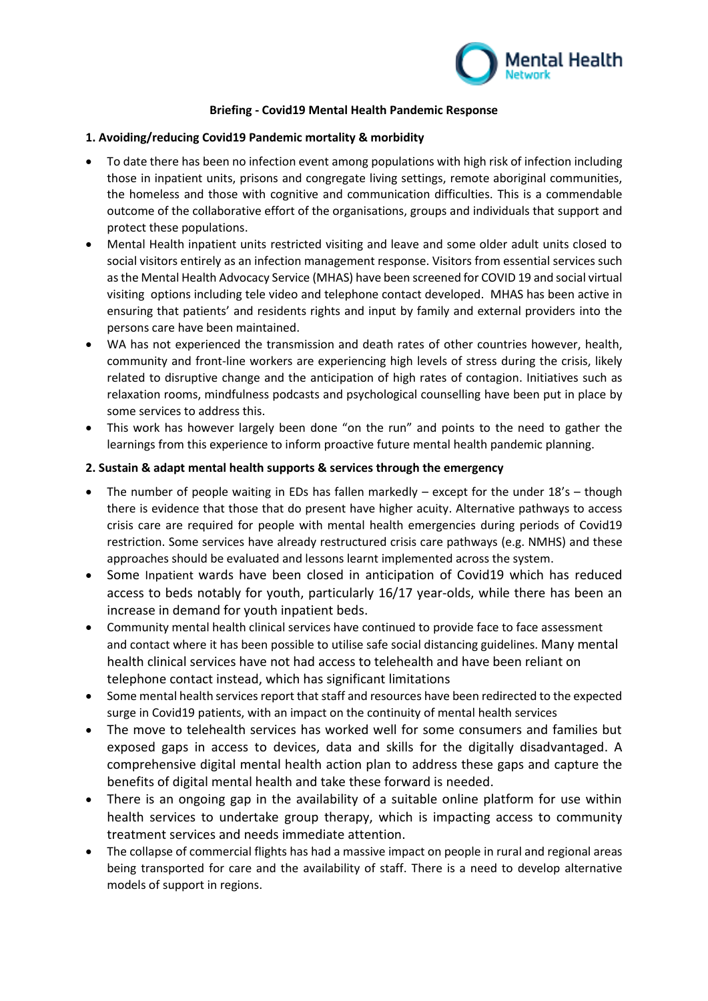

# **Briefing - Covid19 Mental Health Pandemic Response**

## **1. Avoiding/reducing Covid19 Pandemic mortality & morbidity**

- To date there has been no infection event among populations with high risk of infection including those in inpatient units, prisons and congregate living settings, remote aboriginal communities, the homeless and those with cognitive and communication difficulties. This is a commendable outcome of the collaborative effort of the organisations, groups and individuals that support and protect these populations.
- Mental Health inpatient units restricted visiting and leave and some older adult units closed to social visitors entirely as an infection management response. Visitors from essential services such as the Mental Health Advocacy Service (MHAS) have been screened for COVID 19 and social virtual visiting options including tele video and telephone contact developed. MHAS has been active in ensuring that patients' and residents rights and input by family and external providers into the persons care have been maintained.
- WA has not experienced the transmission and death rates of other countries however, health, community and front-line workers are experiencing high levels of stress during the crisis, likely related to disruptive change and the anticipation of high rates of contagion. Initiatives such as relaxation rooms, mindfulness podcasts and psychological counselling have been put in place by some services to address this.
- This work has however largely been done "on the run" and points to the need to gather the learnings from this experience to inform proactive future mental health pandemic planning.

### **2. Sustain & adapt mental health supports & services through the emergency**

- The number of people waiting in EDs has fallen markedly except for the under  $18's$  though there is evidence that those that do present have higher acuity. Alternative pathways to access crisis care are required for people with mental health emergencies during periods of Covid19 restriction. Some services have already restructured crisis care pathways (e.g. NMHS) and these approaches should be evaluated and lessons learnt implemented across the system.
- Some Inpatient wards have been closed in anticipation of Covid19 which has reduced access to beds notably for youth, particularly 16/17 year-olds, while there has been an increase in demand for youth inpatient beds.
- Community mental health clinical services have continued to provide face to face assessment and contact where it has been possible to utilise safe social distancing guidelines. Many mental health clinical services have not had access to telehealth and have been reliant on telephone contact instead, which has significant limitations
- Some mental health services report that staff and resources have been redirected to the expected surge in Covid19 patients, with an impact on the continuity of mental health services
- The move to telehealth services has worked well for some consumers and families but exposed gaps in access to devices, data and skills for the digitally disadvantaged. A comprehensive digital mental health action plan to address these gaps and capture the benefits of digital mental health and take these forward is needed.
- There is an ongoing gap in the availability of a suitable online platform for use within health services to undertake group therapy, which is impacting access to community treatment services and needs immediate attention.
- The collapse of commercial flights has had a massive impact on people in rural and regional areas being transported for care and the availability of staff. There is a need to develop alternative models of support in regions.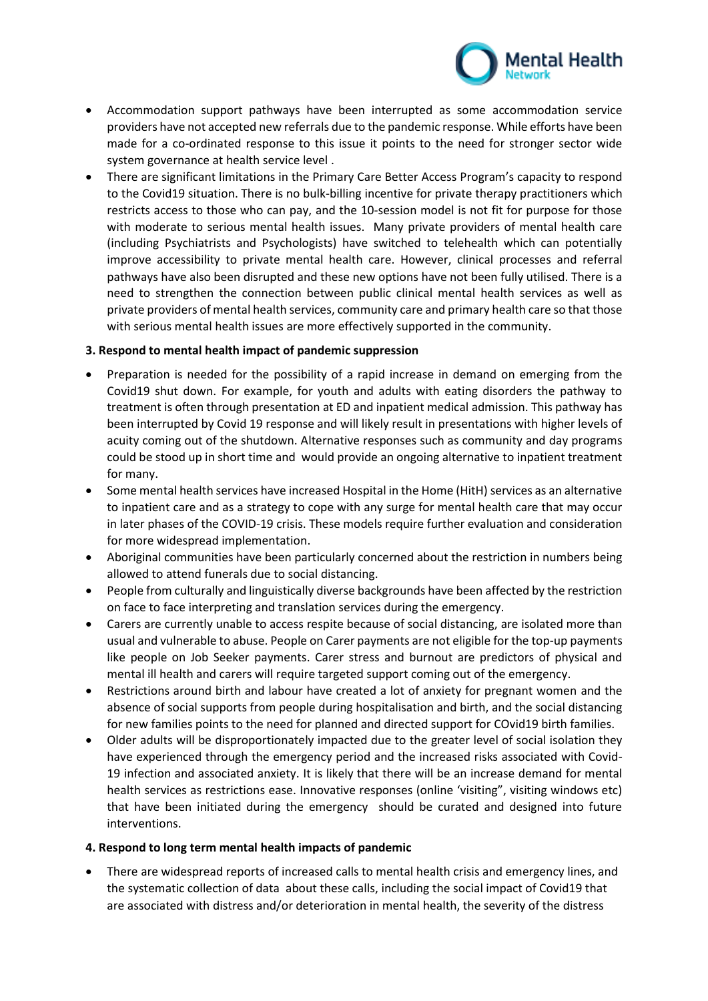

- Accommodation support pathways have been interrupted as some accommodation service providers have not accepted new referrals due to the pandemic response. While efforts have been made for a co-ordinated response to this issue it points to the need for stronger sector wide system governance at health service level .
- There are significant limitations in the Primary Care Better Access Program's capacity to respond to the Covid19 situation. There is no bulk-billing incentive for private therapy practitioners which restricts access to those who can pay, and the 10-session model is not fit for purpose for those with moderate to serious mental health issues. Many private providers of mental health care (including Psychiatrists and Psychologists) have switched to telehealth which can potentially improve accessibility to private mental health care. However, clinical processes and referral pathways have also been disrupted and these new options have not been fully utilised. There is a need to strengthen the connection between public clinical mental health services as well as private providers of mental health services, community care and primary health care so that those with serious mental health issues are more effectively supported in the community.

### **3. Respond to mental health impact of pandemic suppression**

- Preparation is needed for the possibility of a rapid increase in demand on emerging from the Covid19 shut down. For example, for youth and adults with eating disorders the pathway to treatment is often through presentation at ED and inpatient medical admission. This pathway has been interrupted by Covid 19 response and will likely result in presentations with higher levels of acuity coming out of the shutdown. Alternative responses such as community and day programs could be stood up in short time and would provide an ongoing alternative to inpatient treatment for many.
- Some mental health services have increased Hospital in the Home (HitH) services as an alternative to inpatient care and as a strategy to cope with any surge for mental health care that may occur in later phases of the COVID-19 crisis. These models require further evaluation and consideration for more widespread implementation.
- Aboriginal communities have been particularly concerned about the restriction in numbers being allowed to attend funerals due to social distancing.
- People from culturally and linguistically diverse backgrounds have been affected by the restriction on face to face interpreting and translation services during the emergency.
- Carers are currently unable to access respite because of social distancing, are isolated more than usual and vulnerable to abuse. People on Carer payments are not eligible for the top-up payments like people on Job Seeker payments. Carer stress and burnout are predictors of physical and mental ill health and carers will require targeted support coming out of the emergency.
- Restrictions around birth and labour have created a lot of anxiety for pregnant women and the absence of social supports from people during hospitalisation and birth, and the social distancing for new families points to the need for planned and directed support for COvid19 birth families.
- Older adults will be disproportionately impacted due to the greater level of social isolation they have experienced through the emergency period and the increased risks associated with Covid-19 infection and associated anxiety. It is likely that there will be an increase demand for mental health services as restrictions ease. Innovative responses (online 'visiting", visiting windows etc) that have been initiated during the emergency should be curated and designed into future interventions.

### **4. Respond to long term mental health impacts of pandemic**

• There are widespread reports of increased calls to mental health crisis and emergency lines, and the systematic collection of data about these calls, including the social impact of Covid19 that are associated with distress and/or deterioration in mental health, the severity of the distress